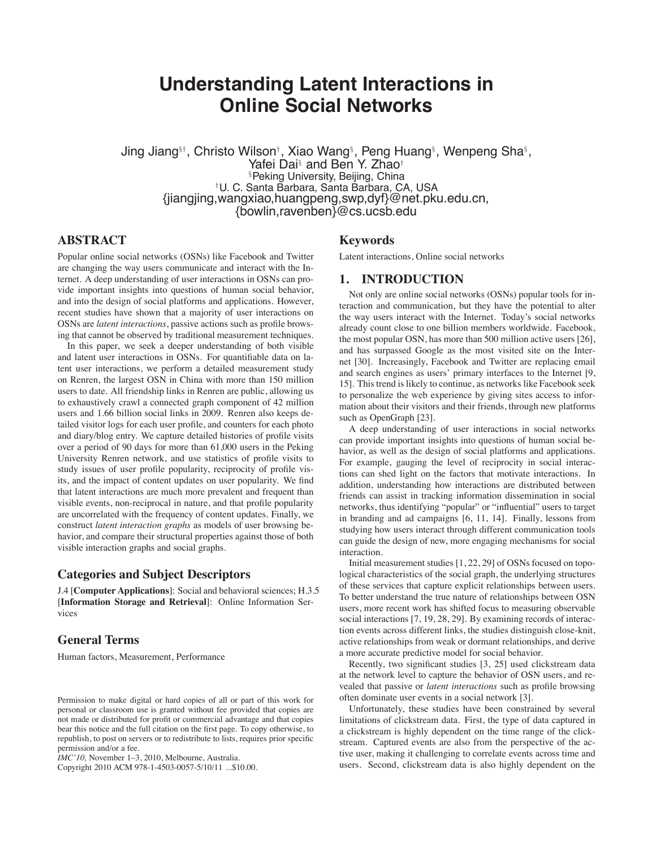# **Understanding Latent Interactions in Online Social Networks**

Jing Jiang§†, Christo Wilson†, Xiao Wang§, Peng Huang§, Wenpeng Sha§, Yafei Dai§ and Ben Y. Zhao† §Peking University, Beijing, China †U. C. Santa Barbara, Santa Barbara, CA, USA {jiangjing,wangxiao,huangpeng,swp,dyf}@net.pku.edu.cn, {bowlin,ravenben}@cs.ucsb.edu

# **ABSTRACT**

Popular online social networks (OSNs) like Facebook and Twitter are changing the way users communicate and interact with the Internet. A deep understanding of user interactions in OSNs can provide important insights into questions of human social behavior, and into the design of social platforms and applications. However, recent studies have shown that a majority of user interactions on OSNs are *latent interactions*, passive actions such as profile browsing that cannot be observed by traditional measurement techniques.

In this paper, we seek a deeper understanding of both visible and latent user interactions in OSNs. For quantifiable data on latent user interactions, we perform a detailed measurement study on Renren, the largest OSN in China with more than 150 million users to date. All friendship links in Renren are public, allowing us to exhaustively crawl a connected graph component of 42 million users and 1.66 billion social links in 2009. Renren also keeps detailed visitor logs for each user profile, and counters for each photo and diary/blog entry. We capture detailed histories of profile visits over a period of 90 days for more than 61,000 users in the Peking University Renren network, and use statistics of profile visits to study issues of user profile popularity, reciprocity of profile visits, and the impact of content updates on user popularity. We find that latent interactions are much more prevalent and frequent than visible events, non-reciprocal in nature, and that profile popularity are uncorrelated with the frequency of content updates. Finally, we construct *latent interaction graphs* as models of user browsing behavior, and compare their structural properties against those of both visible interaction graphs and social graphs.

## **Categories and Subject Descriptors**

J.4 [**Computer Applications**]: Social and behavioral sciences; H.3.5 [**Information Storage and Retrieval**]: Online Information Services

## **General Terms**

Human factors, Measurement, Performance

Copyright 2010 ACM 978-1-4503-0057-5/10/11 ...\$10.00.

## **Keywords**

Latent interactions, Online social networks

## **1. INTRODUCTION**

Not only are online social networks (OSNs) popular tools for interaction and communication, but they have the potential to alter the way users interact with the Internet. Today's social networks already count close to one billion members worldwide. Facebook, the most popular OSN, has more than 500 million active users [26], and has surpassed Google as the most visited site on the Internet [30]. Increasingly, Facebook and Twitter are replacing email and search engines as users' primary interfaces to the Internet [9, 15]. This trend is likely to continue, as networks like Facebook seek to personalize the web experience by giving sites access to information about their visitors and their friends, through new platforms such as OpenGraph [23].

A deep understanding of user interactions in social networks can provide important insights into questions of human social behavior, as well as the design of social platforms and applications. For example, gauging the level of reciprocity in social interactions can shed light on the factors that motivate interactions. In addition, understanding how interactions are distributed between friends can assist in tracking information dissemination in social networks, thus identifying "popular" or "influential" users to target in branding and ad campaigns [6, 11, 14]. Finally, lessons from studying how users interact through different communication tools can guide the design of new, more engaging mechanisms for social interaction.

Initial measurement studies [1, 22, 29] of OSNs focused on topological characteristics of the social graph, the underlying structures of these services that capture explicit relationships between users. To better understand the true nature of relationships between OSN users, more recent work has shifted focus to measuring observable social interactions [7, 19, 28, 29]. By examining records of interaction events across different links, the studies distinguish close-knit, active relationships from weak or dormant relationships, and derive a more accurate predictive model for social behavior.

Recently, two significant studies [3, 25] used clickstream data at the network level to capture the behavior of OSN users, and revealed that passive or *latent interactions* such as profile browsing often dominate user events in a social network [3].

Unfortunately, these studies have been constrained by several limitations of clickstream data. First, the type of data captured in a clickstream is highly dependent on the time range of the clickstream. Captured events are also from the perspective of the active user, making it challenging to correlate events across time and users. Second, clickstream data is also highly dependent on the

Permission to make digital or hard copies of all or part of this work for personal or classroom use is granted without fee provided that copies are not made or distributed for profit or commercial advantage and that copies bear this notice and the full citation on the first page. To copy otherwise, to republish, to post on servers or to redistribute to lists, requires prior specific permission and/or a fee.

*IMC'10,* November 1–3, 2010, Melbourne, Australia.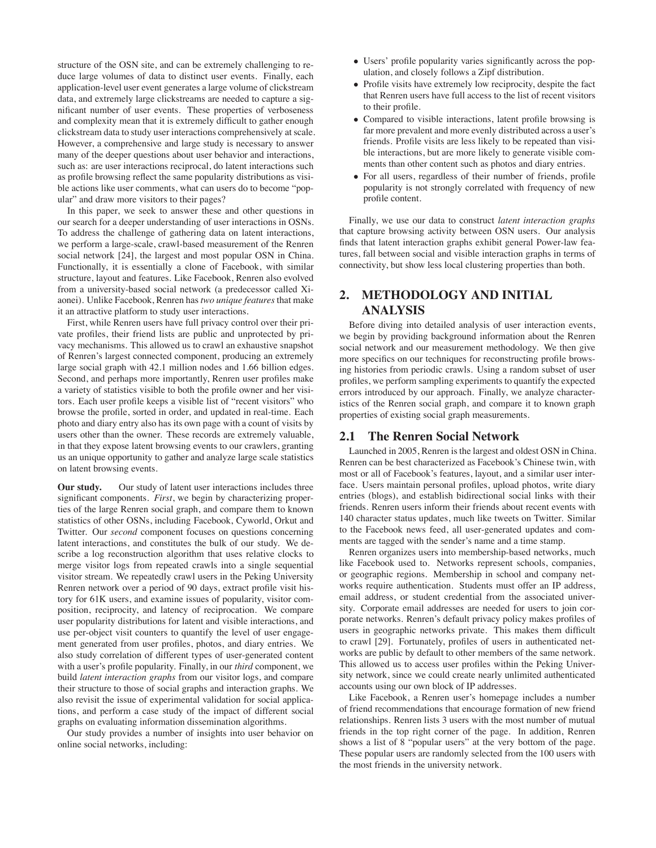structure of the OSN site, and can be extremely challenging to reduce large volumes of data to distinct user events. Finally, each application-level user event generates a large volume of clickstream data, and extremely large clickstreams are needed to capture a significant number of user events. These properties of verboseness and complexity mean that it is extremely difficult to gather enough clickstream data to study user interactions comprehensively at scale. However, a comprehensive and large study is necessary to answer many of the deeper questions about user behavior and interactions, such as: are user interactions reciprocal, do latent interactions such as profile browsing reflect the same popularity distributions as visible actions like user comments, what can users do to become "popular" and draw more visitors to their pages?

In this paper, we seek to answer these and other questions in our search for a deeper understanding of user interactions in OSNs. To address the challenge of gathering data on latent interactions, we perform a large-scale, crawl-based measurement of the Renren social network [24], the largest and most popular OSN in China. Functionally, it is essentially a clone of Facebook, with similar structure, layout and features. Like Facebook, Renren also evolved from a university-based social network (a predecessor called Xiaonei). Unlike Facebook, Renren has *two unique features* that make it an attractive platform to study user interactions.

First, while Renren users have full privacy control over their private profiles, their friend lists are public and unprotected by privacy mechanisms. This allowed us to crawl an exhaustive snapshot of Renren's largest connected component, producing an extremely large social graph with 42.1 million nodes and 1.66 billion edges. Second, and perhaps more importantly, Renren user profiles make a variety of statistics visible to both the profile owner and her visitors. Each user profile keeps a visible list of "recent visitors" who browse the profile, sorted in order, and updated in real-time. Each photo and diary entry also has its own page with a count of visits by users other than the owner. These records are extremely valuable, in that they expose latent browsing events to our crawlers, granting us an unique opportunity to gather and analyze large scale statistics on latent browsing events.

**Our study.** Our study of latent user interactions includes three significant components. *First*, we begin by characterizing properties of the large Renren social graph, and compare them to known statistics of other OSNs, including Facebook, Cyworld, Orkut and Twitter. Our *second* component focuses on questions concerning latent interactions, and constitutes the bulk of our study. We describe a log reconstruction algorithm that uses relative clocks to merge visitor logs from repeated crawls into a single sequential visitor stream. We repeatedly crawl users in the Peking University Renren network over a period of 90 days, extract profile visit history for 61K users, and examine issues of popularity, visitor composition, reciprocity, and latency of reciprocation. We compare user popularity distributions for latent and visible interactions, and use per-object visit counters to quantify the level of user engagement generated from user profiles, photos, and diary entries. We also study correlation of different types of user-generated content with a user's profile popularity. Finally, in our *third* component, we build *latent interaction graphs* from our visitor logs, and compare their structure to those of social graphs and interaction graphs. We also revisit the issue of experimental validation for social applications, and perform a case study of the impact of different social graphs on evaluating information dissemination algorithms.

Our study provides a number of insights into user behavior on online social networks, including:

- Users' profile popularity varies significantly across the population, and closely follows a Zipf distribution.
- Profile visits have extremely low reciprocity, despite the fact that Renren users have full access to the list of recent visitors to their profile.
- Compared to visible interactions, latent profile browsing is far more prevalent and more evenly distributed across a user's friends. Profile visits are less likely to be repeated than visible interactions, but are more likely to generate visible comments than other content such as photos and diary entries.
- For all users, regardless of their number of friends, profile popularity is not strongly correlated with frequency of new profile content.

Finally, we use our data to construct *latent interaction graphs* that capture browsing activity between OSN users. Our analysis finds that latent interaction graphs exhibit general Power-law features, fall between social and visible interaction graphs in terms of connectivity, but show less local clustering properties than both.

# **2. METHODOLOGY AND INITIAL ANALYSIS**

Before diving into detailed analysis of user interaction events, we begin by providing background information about the Renren social network and our measurement methodology. We then give more specifics on our techniques for reconstructing profile browsing histories from periodic crawls. Using a random subset of user profiles, we perform sampling experiments to quantify the expected errors introduced by our approach. Finally, we analyze characteristics of the Renren social graph, and compare it to known graph properties of existing social graph measurements.

# **2.1 The Renren Social Network**

Launched in 2005, Renren is the largest and oldest OSN in China. Renren can be best characterized as Facebook's Chinese twin, with most or all of Facebook's features, layout, and a similar user interface. Users maintain personal profiles, upload photos, write diary entries (blogs), and establish bidirectional social links with their friends. Renren users inform their friends about recent events with 140 character status updates, much like tweets on Twitter. Similar to the Facebook news feed, all user-generated updates and comments are tagged with the sender's name and a time stamp.

Renren organizes users into membership-based networks, much like Facebook used to. Networks represent schools, companies, or geographic regions. Membership in school and company networks require authentication. Students must offer an IP address, email address, or student credential from the associated university. Corporate email addresses are needed for users to join corporate networks. Renren's default privacy policy makes profiles of users in geographic networks private. This makes them difficult to crawl [29]. Fortunately, profiles of users in authenticated networks are public by default to other members of the same network. This allowed us to access user profiles within the Peking University network, since we could create nearly unlimited authenticated accounts using our own block of IP addresses.

Like Facebook, a Renren user's homepage includes a number of friend recommendations that encourage formation of new friend relationships. Renren lists 3 users with the most number of mutual friends in the top right corner of the page. In addition, Renren shows a list of 8 "popular users" at the very bottom of the page. These popular users are randomly selected from the 100 users with the most friends in the university network.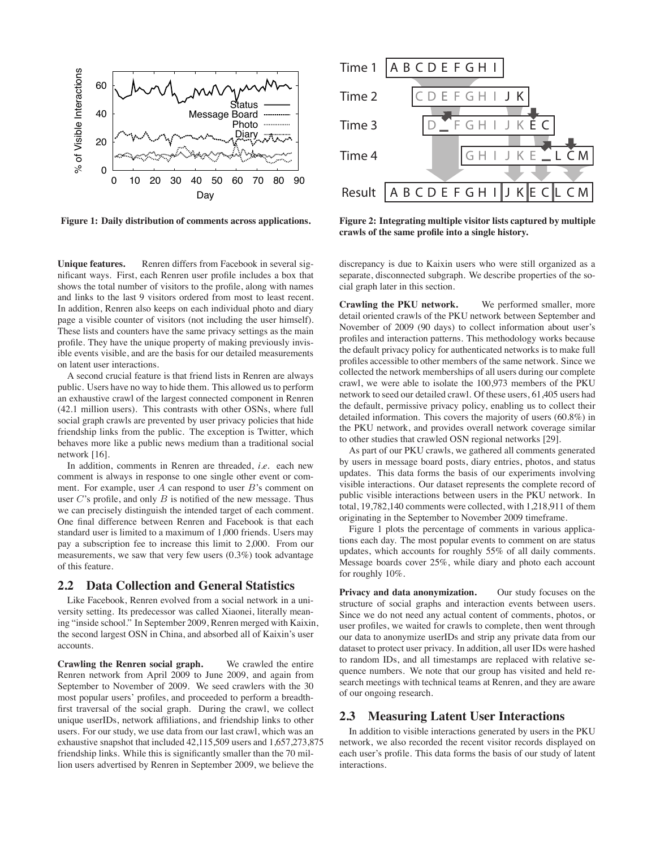

**Figure 1: Daily distribution of comments across applications.**

**Unique features.** Renren differs from Facebook in several significant ways. First, each Renren user profile includes a box that shows the total number of visitors to the profile, along with names and links to the last 9 visitors ordered from most to least recent. In addition, Renren also keeps on each individual photo and diary page a visible counter of visitors (not including the user himself). These lists and counters have the same privacy settings as the main profile. They have the unique property of making previously invisible events visible, and are the basis for our detailed measurements on latent user interactions.

A second crucial feature is that friend lists in Renren are always public. Users have no way to hide them. This allowed us to perform an exhaustive crawl of the largest connected component in Renren (42.1 million users). This contrasts with other OSNs, where full social graph crawls are prevented by user privacy policies that hide friendship links from the public. The exception is Twitter, which behaves more like a public news medium than a traditional social network [16].

In addition, comments in Renren are threaded, *i.e.* each new comment is always in response to one single other event or comment. For example, user  $A$  can respond to user  $B$ 's comment on user  $C$ 's profile, and only  $B$  is notified of the new message. Thus we can precisely distinguish the intended target of each comment. One final difference between Renren and Facebook is that each standard user is limited to a maximum of 1,000 friends. Users may pay a subscription fee to increase this limit to 2,000. From our measurements, we saw that very few users (0.3%) took advantage of this feature.

## **2.2 Data Collection and General Statistics**

Like Facebook, Renren evolved from a social network in a university setting. Its predecessor was called Xiaonei, literally meaning "inside school." In September 2009, Renren merged with Kaixin, the second largest OSN in China, and absorbed all of Kaixin's user accounts.

**Crawling the Renren social graph.** We crawled the entire Renren network from April 2009 to June 2009, and again from September to November of 2009. We seed crawlers with the 30 most popular users' profiles, and proceeded to perform a breadthfirst traversal of the social graph. During the crawl, we collect unique userIDs, network affiliations, and friendship links to other users. For our study, we use data from our last crawl, which was an exhaustive snapshot that included 42,115,509 users and 1,657,273,875 friendship links. While this is significantly smaller than the 70 million users advertised by Renren in September 2009, we believe the



**Figure 2: Integrating multiple visitor lists captured by multiple crawls of the same profile into a single history.**

discrepancy is due to Kaixin users who were still organized as a separate, disconnected subgraph. We describe properties of the social graph later in this section.

**Crawling the PKU network.** We performed smaller, more detail oriented crawls of the PKU network between September and November of 2009 (90 days) to collect information about user's profiles and interaction patterns. This methodology works because the default privacy policy for authenticated networks is to make full profiles accessible to other members of the same network. Since we collected the network memberships of all users during our complete crawl, we were able to isolate the 100,973 members of the PKU network to seed our detailed crawl. Of these users, 61,405 users had the default, permissive privacy policy, enabling us to collect their detailed information. This covers the majority of users (60.8%) in the PKU network, and provides overall network coverage similar to other studies that crawled OSN regional networks [29].

As part of our PKU crawls, we gathered all comments generated by users in message board posts, diary entries, photos, and status updates. This data forms the basis of our experiments involving visible interactions. Our dataset represents the complete record of public visible interactions between users in the PKU network. In total, 19,782,140 comments were collected, with 1,218,911 of them originating in the September to November 2009 timeframe.

Figure 1 plots the percentage of comments in various applications each day. The most popular events to comment on are status updates, which accounts for roughly 55% of all daily comments. Message boards cover 25%, while diary and photo each account for roughly 10%.

**Privacy and data anonymization.** Our study focuses on the structure of social graphs and interaction events between users. Since we do not need any actual content of comments, photos, or user profiles, we waited for crawls to complete, then went through our data to anonymize userIDs and strip any private data from our dataset to protect user privacy. In addition, all user IDs were hashed to random IDs, and all timestamps are replaced with relative sequence numbers. We note that our group has visited and held research meetings with technical teams at Renren, and they are aware of our ongoing research.

## **2.3 Measuring Latent User Interactions**

In addition to visible interactions generated by users in the PKU network, we also recorded the recent visitor records displayed on each user's profile. This data forms the basis of our study of latent interactions.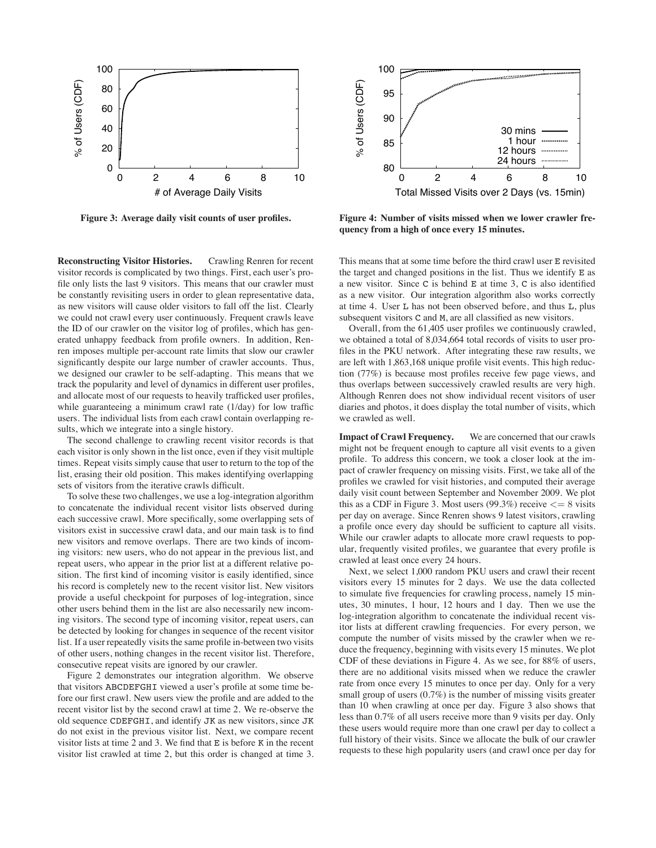

**Figure 3: Average daily visit counts of user profiles.**

**Reconstructing Visitor Histories.** Crawling Renren for recent visitor records is complicated by two things. First, each user's profile only lists the last 9 visitors. This means that our crawler must be constantly revisiting users in order to glean representative data, as new visitors will cause older visitors to fall off the list. Clearly we could not crawl every user continuously. Frequent crawls leave the ID of our crawler on the visitor log of profiles, which has generated unhappy feedback from profile owners. In addition, Renren imposes multiple per-account rate limits that slow our crawler significantly despite our large number of crawler accounts. Thus, we designed our crawler to be self-adapting. This means that we track the popularity and level of dynamics in different user profiles, and allocate most of our requests to heavily trafficked user profiles, while guaranteeing a minimum crawl rate (1/day) for low traffic users. The individual lists from each crawl contain overlapping results, which we integrate into a single history.

The second challenge to crawling recent visitor records is that each visitor is only shown in the list once, even if they visit multiple times. Repeat visits simply cause that user to return to the top of the list, erasing their old position. This makes identifying overlapping sets of visitors from the iterative crawls difficult.

To solve these two challenges, we use a log-integration algorithm to concatenate the individual recent visitor lists observed during each successive crawl. More specifically, some overlapping sets of visitors exist in successive crawl data, and our main task is to find new visitors and remove overlaps. There are two kinds of incoming visitors: new users, who do not appear in the previous list, and repeat users, who appear in the prior list at a different relative position. The first kind of incoming visitor is easily identified, since his record is completely new to the recent visitor list. New visitors provide a useful checkpoint for purposes of log-integration, since other users behind them in the list are also necessarily new incoming visitors. The second type of incoming visitor, repeat users, can be detected by looking for changes in sequence of the recent visitor list. If a user repeatedly visits the same profile in-between two visits of other users, nothing changes in the recent visitor list. Therefore, consecutive repeat visits are ignored by our crawler.

Figure 2 demonstrates our integration algorithm. We observe that visitors ABCDEFGHI viewed a user's profile at some time before our first crawl. New users view the profile and are added to the recent visitor list by the second crawl at time 2. We re-observe the old sequence CDEFGHI, and identify JK as new visitors, since JK do not exist in the previous visitor list. Next, we compare recent visitor lists at time 2 and 3. We find that E is before K in the recent visitor list crawled at time 2, but this order is changed at time 3.



**Figure 4: Number of visits missed when we lower crawler frequency from a high of once every 15 minutes.**

This means that at some time before the third crawl user E revisited the target and changed positions in the list. Thus we identify E as a new visitor. Since C is behind E at time 3, C is also identified as a new visitor. Our integration algorithm also works correctly at time 4. User L has not been observed before, and thus L, plus subsequent visitors C and M, are all classified as new visitors.

Overall, from the 61,405 user profiles we continuously crawled, we obtained a total of 8,034,664 total records of visits to user profiles in the PKU network. After integrating these raw results, we are left with 1,863,168 unique profile visit events. This high reduction (77%) is because most profiles receive few page views, and thus overlaps between successively crawled results are very high. Although Renren does not show individual recent visitors of user diaries and photos, it does display the total number of visits, which we crawled as well.

**Impact of Crawl Frequency.** We are concerned that our crawls might not be frequent enough to capture all visit events to a given profile. To address this concern, we took a closer look at the impact of crawler frequency on missing visits. First, we take all of the profiles we crawled for visit histories, and computed their average daily visit count between September and November 2009. We plot this as a CDF in Figure 3. Most users (99.3%) receive  $<= 8$  visits per day on average. Since Renren shows 9 latest visitors, crawling a profile once every day should be sufficient to capture all visits. While our crawler adapts to allocate more crawl requests to popular, frequently visited profiles, we guarantee that every profile is crawled at least once every 24 hours.

Next, we select 1,000 random PKU users and crawl their recent visitors every 15 minutes for 2 days. We use the data collected to simulate five frequencies for crawling process, namely 15 minutes, 30 minutes, 1 hour, 12 hours and 1 day. Then we use the log-integration algorithm to concatenate the individual recent visitor lists at different crawling frequencies. For every person, we compute the number of visits missed by the crawler when we reduce the frequency, beginning with visits every 15 minutes. We plot CDF of these deviations in Figure 4. As we see, for 88% of users, there are no additional visits missed when we reduce the crawler rate from once every 15 minutes to once per day. Only for a very small group of users  $(0.7%)$  is the number of missing visits greater than 10 when crawling at once per day. Figure 3 also shows that less than 0.7% of all users receive more than 9 visits per day. Only these users would require more than one crawl per day to collect a full history of their visits. Since we allocate the bulk of our crawler requests to these high popularity users (and crawl once per day for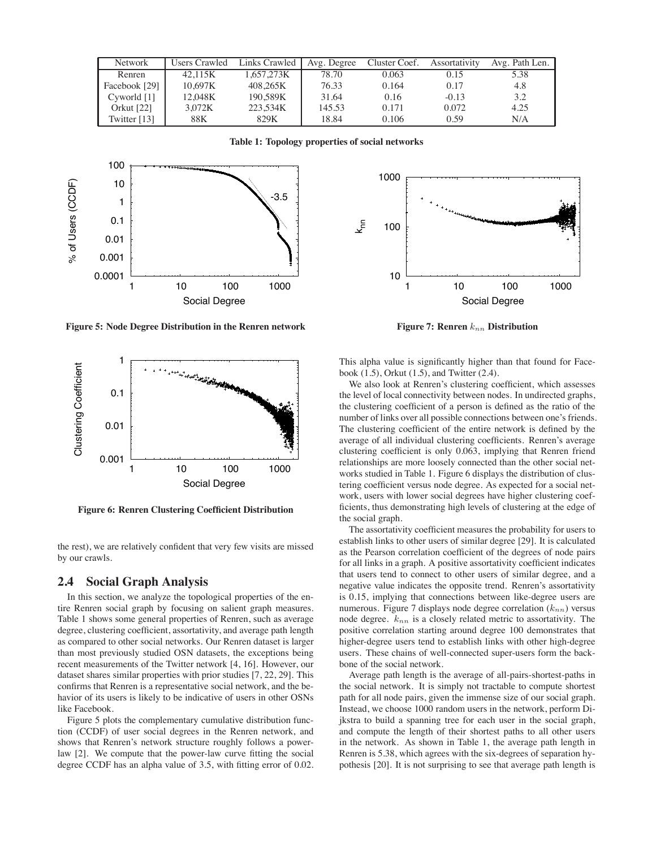| <b>Network</b> | Users Crawled | Links Crawled | Avg. Degree | Cluster Coef. | Assortativity | Avg. Path Len. |
|----------------|---------------|---------------|-------------|---------------|---------------|----------------|
| Renren         | 42.115K       | 1.657.273K    | 78.70       | 0.063         | 0.15          | 5.38           |
| Facebook [29]  | 10.697K       | 408.265K      | 76.33       | 0.164         | 0.17          | 4.8            |
| Cyworld [1]    | 12.048K       | 190.589K      | 31.64       | 0.16          | $-0.13$       | 3.2            |
| Orkut $[22]$   | 3.072K        | 223.534K      | 145.53      | 0.171         | 0.072         | 4.25           |
| Twitter $[13]$ | 88K           | 829K          | 18.84       | 0.106         | 0.59          | N/A            |

**Table 1: Topology properties of social networks**

 100 10 % of Users (CCDF) % of Users (CCDF) -3.5 1 0.1 0.01 0.001 0.0001 1 10 100 1000 Social Degree

**Figure 5: Node Degree Distribution in the Renren network**



**Figure 6: Renren Clustering Coefficient Distribution**

the rest), we are relatively confident that very few visits are missed by our crawls.

## **2.4 Social Graph Analysis**

In this section, we analyze the topological properties of the entire Renren social graph by focusing on salient graph measures. Table 1 shows some general properties of Renren, such as average degree, clustering coefficient, assortativity, and average path length as compared to other social networks. Our Renren dataset is larger than most previously studied OSN datasets, the exceptions being recent measurements of the Twitter network [4, 16]. However, our dataset shares similar properties with prior studies [7, 22, 29]. This confirms that Renren is a representative social network, and the behavior of its users is likely to be indicative of users in other OSNs like Facebook.

Figure 5 plots the complementary cumulative distribution function (CCDF) of user social degrees in the Renren network, and shows that Renren's network structure roughly follows a powerlaw [2]. We compute that the power-law curve fitting the social degree CCDF has an alpha value of 3.5, with fitting error of 0.02.



**Figure 7: Renren**  $k_{nn}$  **Distribution** 

This alpha value is significantly higher than that found for Facebook (1.5), Orkut (1.5), and Twitter (2.4).

We also look at Renren's clustering coefficient, which assesses the level of local connectivity between nodes. In undirected graphs, the clustering coefficient of a person is defined as the ratio of the number of links over all possible connections between one's friends. The clustering coefficient of the entire network is defined by the average of all individual clustering coefficients. Renren's average clustering coefficient is only 0.063, implying that Renren friend relationships are more loosely connected than the other social networks studied in Table 1. Figure 6 displays the distribution of clustering coefficient versus node degree. As expected for a social network, users with lower social degrees have higher clustering coefficients, thus demonstrating high levels of clustering at the edge of the social graph.

The assortativity coefficient measures the probability for users to establish links to other users of similar degree [29]. It is calculated as the Pearson correlation coefficient of the degrees of node pairs for all links in a graph. A positive assortativity coefficient indicates that users tend to connect to other users of similar degree, and a negative value indicates the opposite trend. Renren's assortativity is 0.15, implying that connections between like-degree users are numerous. Figure 7 displays node degree correlation  $(k_{nn})$  versus node degree.  $k_{nn}$  is a closely related metric to assortativity. The positive correlation starting around degree 100 demonstrates that higher-degree users tend to establish links with other high-degree users. These chains of well-connected super-users form the backbone of the social network.

Average path length is the average of all-pairs-shortest-paths in the social network. It is simply not tractable to compute shortest path for all node pairs, given the immense size of our social graph. Instead, we choose 1000 random users in the network, perform Dijkstra to build a spanning tree for each user in the social graph, and compute the length of their shortest paths to all other users in the network. As shown in Table 1, the average path length in Renren is 5.38, which agrees with the six-degrees of separation hypothesis [20]. It is not surprising to see that average path length is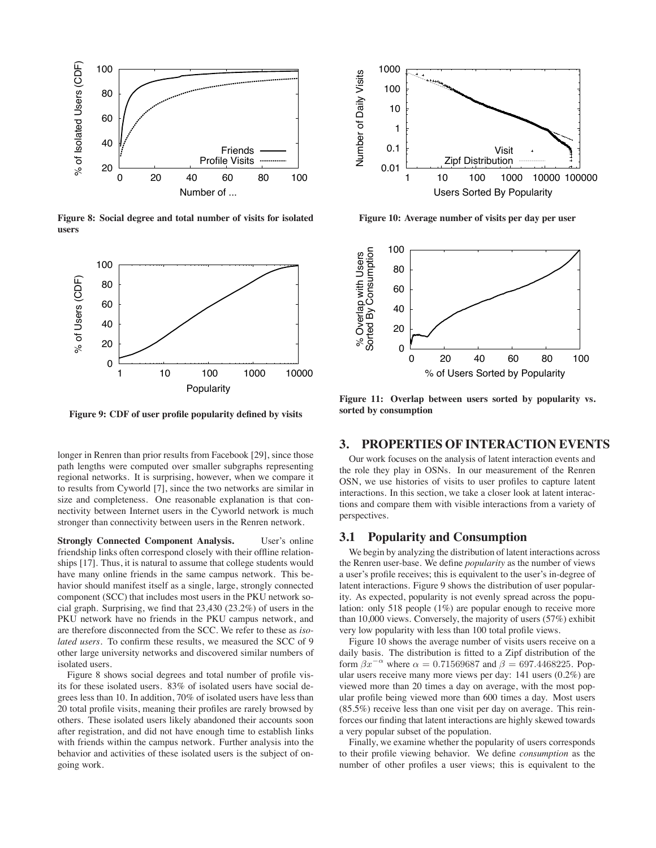

**Figure 8: Social degree and total number of visits for isolated users**



**Figure 9: CDF of user profile popularity defined by visits**

longer in Renren than prior results from Facebook [29], since those path lengths were computed over smaller subgraphs representing regional networks. It is surprising, however, when we compare it to results from Cyworld [7], since the two networks are similar in size and completeness. One reasonable explanation is that connectivity between Internet users in the Cyworld network is much stronger than connectivity between users in the Renren network.

**Strongly Connected Component Analysis.** User's online friendship links often correspond closely with their offline relationships [17]. Thus, it is natural to assume that college students would have many online friends in the same campus network. This behavior should manifest itself as a single, large, strongly connected component (SCC) that includes most users in the PKU network social graph. Surprising, we find that 23,430 (23.2%) of users in the PKU network have no friends in the PKU campus network, and are therefore disconnected from the SCC. We refer to these as *isolated users*. To confirm these results, we measured the SCC of 9 other large university networks and discovered similar numbers of isolated users.

Figure 8 shows social degrees and total number of profile visits for these isolated users. 83% of isolated users have social degrees less than 10. In addition, 70% of isolated users have less than 20 total profile visits, meaning their profiles are rarely browsed by others. These isolated users likely abandoned their accounts soon after registration, and did not have enough time to establish links with friends within the campus network. Further analysis into the behavior and activities of these isolated users is the subject of ongoing work.



**Figure 10: Average number of visits per day per user**



**Figure 11: Overlap between users sorted by popularity vs. sorted by consumption**

## **3. PROPERTIES OF INTERACTION EVENTS**

Our work focuses on the analysis of latent interaction events and the role they play in OSNs. In our measurement of the Renren OSN, we use histories of visits to user profiles to capture latent interactions. In this section, we take a closer look at latent interactions and compare them with visible interactions from a variety of perspectives.

## **3.1 Popularity and Consumption**

We begin by analyzing the distribution of latent interactions across the Renren user-base. We define *popularity* as the number of views a user's profile receives; this is equivalent to the user's in-degree of latent interactions. Figure 9 shows the distribution of user popularity. As expected, popularity is not evenly spread across the population: only 518 people (1%) are popular enough to receive more than 10,000 views. Conversely, the majority of users (57%) exhibit very low popularity with less than 100 total profile views.

Figure 10 shows the average number of visits users receive on a daily basis. The distribution is fitted to a Zipf distribution of the form  $\beta x^{-\alpha}$  where  $\alpha = 0.71569687$  and  $\beta = 697.4468225$ . Popular users receive many more views per day: 141 users (0.2%) are viewed more than 20 times a day on average, with the most popular profile being viewed more than 600 times a day. Most users (85.5%) receive less than one visit per day on average. This reinforces our finding that latent interactions are highly skewed towards a very popular subset of the population.

Finally, we examine whether the popularity of users corresponds to their profile viewing behavior. We define *consumption* as the number of other profiles a user views; this is equivalent to the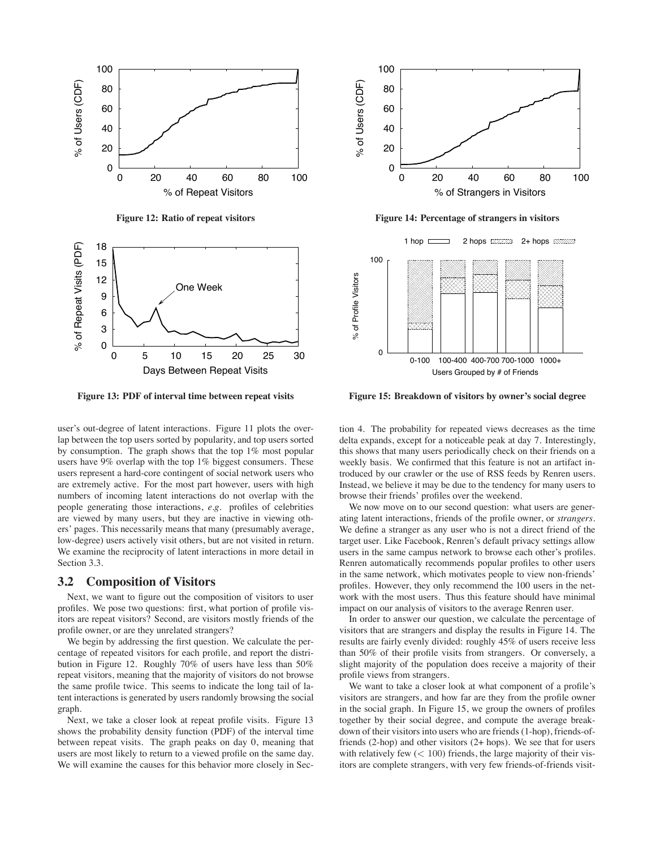

**Figure 12: Ratio of repeat visitors**



**Figure 13: PDF of interval time between repeat visits**

user's out-degree of latent interactions. Figure 11 plots the overlap between the top users sorted by popularity, and top users sorted by consumption. The graph shows that the top 1% most popular users have 9% overlap with the top 1% biggest consumers. These users represent a hard-core contingent of social network users who are extremely active. For the most part however, users with high numbers of incoming latent interactions do not overlap with the people generating those interactions, *e.g.* profiles of celebrities are viewed by many users, but they are inactive in viewing others' pages. This necessarily means that many (presumably average, low-degree) users actively visit others, but are not visited in return. We examine the reciprocity of latent interactions in more detail in Section 3.3.

### **3.2 Composition of Visitors**

Next, we want to figure out the composition of visitors to user profiles. We pose two questions: first, what portion of profile visitors are repeat visitors? Second, are visitors mostly friends of the profile owner, or are they unrelated strangers?

We begin by addressing the first question. We calculate the percentage of repeated visitors for each profile, and report the distribution in Figure 12. Roughly 70% of users have less than 50% repeat visitors, meaning that the majority of visitors do not browse the same profile twice. This seems to indicate the long tail of latent interactions is generated by users randomly browsing the social graph.

Next, we take a closer look at repeat profile visits. Figure 13 shows the probability density function (PDF) of the interval time between repeat visits. The graph peaks on day 0, meaning that users are most likely to return to a viewed profile on the same day. We will examine the causes for this behavior more closely in Sec-



**Figure 14: Percentage of strangers in visitors**



**Figure 15: Breakdown of visitors by owner's social degree**

tion 4. The probability for repeated views decreases as the time delta expands, except for a noticeable peak at day 7. Interestingly, this shows that many users periodically check on their friends on a weekly basis. We confirmed that this feature is not an artifact introduced by our crawler or the use of RSS feeds by Renren users. Instead, we believe it may be due to the tendency for many users to browse their friends' profiles over the weekend.

We now move on to our second question: what users are generating latent interactions, friends of the profile owner, or *strangers*. We define a stranger as any user who is not a direct friend of the target user. Like Facebook, Renren's default privacy settings allow users in the same campus network to browse each other's profiles. Renren automatically recommends popular profiles to other users in the same network, which motivates people to view non-friends' profiles. However, they only recommend the 100 users in the network with the most users. Thus this feature should have minimal impact on our analysis of visitors to the average Renren user.

In order to answer our question, we calculate the percentage of visitors that are strangers and display the results in Figure 14. The results are fairly evenly divided: roughly 45% of users receive less than 50% of their profile visits from strangers. Or conversely, a slight majority of the population does receive a majority of their profile views from strangers.

We want to take a closer look at what component of a profile's visitors are strangers, and how far are they from the profile owner in the social graph. In Figure 15, we group the owners of profiles together by their social degree, and compute the average breakdown of their visitors into users who are friends (1-hop), friends-offriends (2-hop) and other visitors (2+ hops). We see that for users with relatively few  $(< 100$ ) friends, the large majority of their visitors are complete strangers, with very few friends-of-friends visit-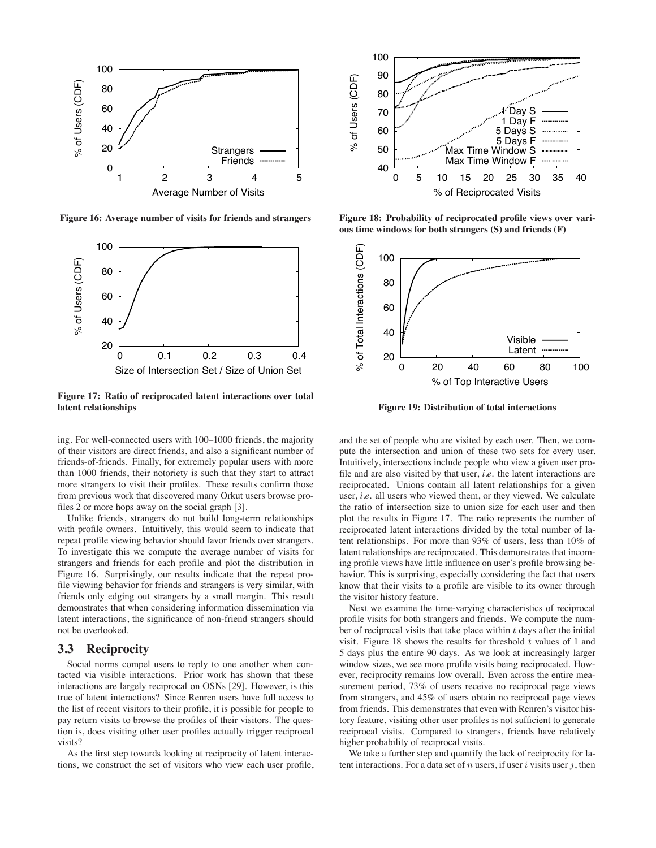

**Figure 16: Average number of visits for friends and strangers**



**Figure 17: Ratio of reciprocated latent interactions over total latent relationships**

ing. For well-connected users with 100–1000 friends, the majority of their visitors are direct friends, and also a significant number of friends-of-friends. Finally, for extremely popular users with more than 1000 friends, their notoriety is such that they start to attract more strangers to visit their profiles. These results confirm those from previous work that discovered many Orkut users browse profiles 2 or more hops away on the social graph [3].

Unlike friends, strangers do not build long-term relationships with profile owners. Intuitively, this would seem to indicate that repeat profile viewing behavior should favor friends over strangers. To investigate this we compute the average number of visits for strangers and friends for each profile and plot the distribution in Figure 16. Surprisingly, our results indicate that the repeat profile viewing behavior for friends and strangers is very similar, with friends only edging out strangers by a small margin. This result demonstrates that when considering information dissemination via latent interactions, the significance of non-friend strangers should not be overlooked.

#### **3.3 Reciprocity**

Social norms compel users to reply to one another when contacted via visible interactions. Prior work has shown that these interactions are largely reciprocal on OSNs [29]. However, is this true of latent interactions? Since Renren users have full access to the list of recent visitors to their profile, it is possible for people to pay return visits to browse the profiles of their visitors. The question is, does visiting other user profiles actually trigger reciprocal visits?

As the first step towards looking at reciprocity of latent interactions, we construct the set of visitors who view each user profile,



**Figure 18: Probability of reciprocated profile views over various time windows for both strangers (S) and friends (F)**



**Figure 19: Distribution of total interactions**

and the set of people who are visited by each user. Then, we compute the intersection and union of these two sets for every user. Intuitively, intersections include people who view a given user profile and are also visited by that user, *i.e.* the latent interactions are reciprocated. Unions contain all latent relationships for a given user, *i.e.* all users who viewed them, or they viewed. We calculate the ratio of intersection size to union size for each user and then plot the results in Figure 17. The ratio represents the number of reciprocated latent interactions divided by the total number of latent relationships. For more than 93% of users, less than 10% of latent relationships are reciprocated. This demonstrates that incoming profile views have little influence on user's profile browsing behavior. This is surprising, especially considering the fact that users know that their visits to a profile are visible to its owner through the visitor history feature.

Next we examine the time-varying characteristics of reciprocal profile visits for both strangers and friends. We compute the number of reciprocal visits that take place within  $t$  days after the initial visit. Figure 18 shows the results for threshold  $t$  values of 1 and 5 days plus the entire 90 days. As we look at increasingly larger window sizes, we see more profile visits being reciprocated. However, reciprocity remains low overall. Even across the entire measurement period, 73% of users receive no reciprocal page views from strangers, and 45% of users obtain no reciprocal page views from friends. This demonstrates that even with Renren's visitor history feature, visiting other user profiles is not sufficient to generate reciprocal visits. Compared to strangers, friends have relatively higher probability of reciprocal visits.

We take a further step and quantify the lack of reciprocity for latent interactions. For a data set of n users, if user i visits user j, then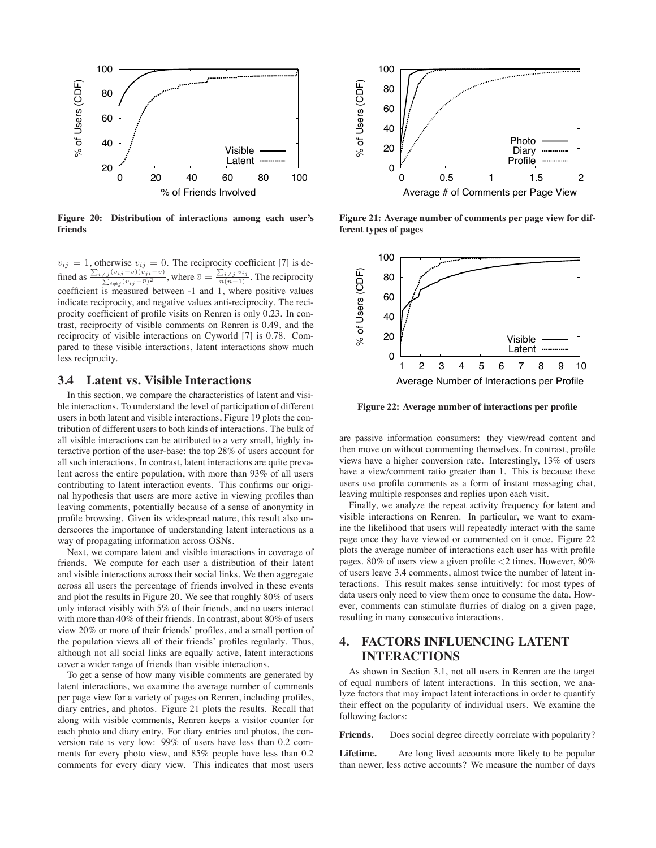

**Figure 20: Distribution of interactions among each user's friends**

 $v_{ij} = 1$ , otherwise  $v_{ij} = 0$ . The reciprocity coefficient [7] is defined as  $\frac{\sum_{i\neq j}(v_{ij}-\bar{v})(v_{ji}-\bar{v})}{\sum_{i\neq j}(v_{ij}-\bar{v})^2}$ , where  $\bar{v} = \frac{\sum_{i\neq j}v_{ij}}{n(n-1)}$ . The reciprocity coefficient is measured between -1 and 1, where positive values indicate reciprocity, and negative values anti-reciprocity. The reciprocity coefficient of profile visits on Renren is only 0.23. In contrast, reciprocity of visible comments on Renren is 0.49, and the reciprocity of visible interactions on Cyworld [7] is 0.78. Compared to these visible interactions, latent interactions show much less reciprocity.

#### **3.4 Latent vs. Visible Interactions**

In this section, we compare the characteristics of latent and visible interactions. To understand the level of participation of different users in both latent and visible interactions, Figure 19 plots the contribution of different users to both kinds of interactions. The bulk of all visible interactions can be attributed to a very small, highly interactive portion of the user-base: the top 28% of users account for all such interactions. In contrast, latent interactions are quite prevalent across the entire population, with more than 93% of all users contributing to latent interaction events. This confirms our original hypothesis that users are more active in viewing profiles than leaving comments, potentially because of a sense of anonymity in profile browsing. Given its widespread nature, this result also underscores the importance of understanding latent interactions as a way of propagating information across OSNs.

Next, we compare latent and visible interactions in coverage of friends. We compute for each user a distribution of their latent and visible interactions across their social links. We then aggregate across all users the percentage of friends involved in these events and plot the results in Figure 20. We see that roughly 80% of users only interact visibly with 5% of their friends, and no users interact with more than 40% of their friends. In contrast, about 80% of users view 20% or more of their friends' profiles, and a small portion of the population views all of their friends' profiles regularly. Thus, although not all social links are equally active, latent interactions cover a wider range of friends than visible interactions.

To get a sense of how many visible comments are generated by latent interactions, we examine the average number of comments per page view for a variety of pages on Renren, including profiles, diary entries, and photos. Figure 21 plots the results. Recall that along with visible comments, Renren keeps a visitor counter for each photo and diary entry. For diary entries and photos, the conversion rate is very low: 99% of users have less than 0.2 comments for every photo view, and 85% people have less than 0.2 comments for every diary view. This indicates that most users



**Figure 21: Average number of comments per page view for different types of pages**



**Figure 22: Average number of interactions per profile**

are passive information consumers: they view/read content and then move on without commenting themselves. In contrast, profile views have a higher conversion rate. Interestingly, 13% of users have a view/comment ratio greater than 1. This is because these users use profile comments as a form of instant messaging chat, leaving multiple responses and replies upon each visit.

Finally, we analyze the repeat activity frequency for latent and visible interactions on Renren. In particular, we want to examine the likelihood that users will repeatedly interact with the same page once they have viewed or commented on it once. Figure 22 plots the average number of interactions each user has with profile pages. 80% of users view a given profile  $\langle 2 \rangle$  times. However, 80% of users leave 3.4 comments, almost twice the number of latent interactions. This result makes sense intuitively: for most types of data users only need to view them once to consume the data. However, comments can stimulate flurries of dialog on a given page, resulting in many consecutive interactions.

# **4. FACTORS INFLUENCING LATENT INTERACTIONS**

As shown in Section 3.1, not all users in Renren are the target of equal numbers of latent interactions. In this section, we analyze factors that may impact latent interactions in order to quantify their effect on the popularity of individual users. We examine the following factors:

**Friends.** Does social degree directly correlate with popularity?

Lifetime. Are long lived accounts more likely to be popular than newer, less active accounts? We measure the number of days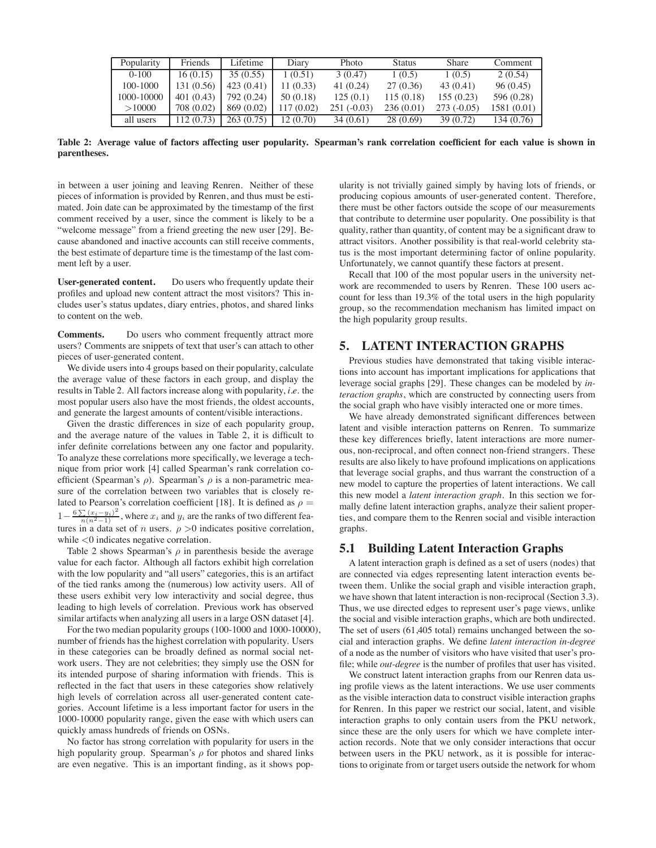| Popularity | <b>Friends</b> | Lifetime   | Diary      | Photo      | <b>Status</b> | Share      | Comment     |
|------------|----------------|------------|------------|------------|---------------|------------|-------------|
| $0-100$    | 16(0.15)       | 35(0.55)   | 1(0.51)    | 3(0.47)    | 1(0.5)        | 1(0.5)     | 2(0.54)     |
| 100-1000   | 131 (0.56)     | 423 (0.41) | 11(0.33)   | 41 (0.24)  | 27(0.36)      | 43 (0.41)  | 96(0.45)    |
| 1000-10000 | 401 (0.43)     | 792 (0.24) | 50(0.18)   | 125(0.1)   | 115(0.18)     | 155(0.23)  | 596 (0.28)  |
| >10000     | 708 (0.02)     | 869 (0.02) | 117 (0.02) | 251(.0.03) | 236(0.01)     | 273(.0.05) | 1581 (0.01) |
| all users  | 112(0.73)      | 263(0.75)  | 12 (0.70)  | 34(0.61)   | 28 (0.69)     | 39 (0.72)  | 134 (0.76)  |

**Table 2: Average value of factors affecting user popularity. Spearman's rank correlation coefficient for each value is shown in parentheses.**

in between a user joining and leaving Renren. Neither of these pieces of information is provided by Renren, and thus must be estimated. Join date can be approximated by the timestamp of the first comment received by a user, since the comment is likely to be a "welcome message" from a friend greeting the new user [29]. Because abandoned and inactive accounts can still receive comments, the best estimate of departure time is the timestamp of the last comment left by a user.

**User-generated content.** Do users who frequently update their profiles and upload new content attract the most visitors? This includes user's status updates, diary entries, photos, and shared links to content on the web.

**Comments.** Do users who comment frequently attract more users? Comments are snippets of text that user's can attach to other pieces of user-generated content.

We divide users into 4 groups based on their popularity, calculate the average value of these factors in each group, and display the results in Table 2. All factors increase along with popularity, *i.e.* the most popular users also have the most friends, the oldest accounts, and generate the largest amounts of content/visible interactions.

Given the drastic differences in size of each popularity group, and the average nature of the values in Table 2, it is difficult to infer definite correlations between any one factor and popularity. To analyze these correlations more specifically, we leverage a technique from prior work [4] called Spearman's rank correlation coefficient (Spearman's  $\rho$ ). Spearman's  $\rho$  is a non-parametric measure of the correlation between two variables that is closely related to Pearson's correlation coefficient [18]. It is defined as  $\rho =$  $1-\frac{6\sum (x_i-y_i)^2}{n(n^2-1)}$ , where  $x_i$  and  $y_i$  are the ranks of two different features in a data set of n users.  $\rho > 0$  indicates positive correlation, while  $\leq 0$  indicates negative correlation.

Table 2 shows Spearman's  $\rho$  in parenthesis beside the average value for each factor. Although all factors exhibit high correlation with the low popularity and "all users" categories, this is an artifact of the tied ranks among the (numerous) low activity users. All of these users exhibit very low interactivity and social degree, thus leading to high levels of correlation. Previous work has observed similar artifacts when analyzing all users in a large OSN dataset [4].

For the two median popularity groups (100-1000 and 1000-10000), number of friends has the highest correlation with popularity. Users in these categories can be broadly defined as normal social network users. They are not celebrities; they simply use the OSN for its intended purpose of sharing information with friends. This is reflected in the fact that users in these categories show relatively high levels of correlation across all user-generated content categories. Account lifetime is a less important factor for users in the 1000-10000 popularity range, given the ease with which users can quickly amass hundreds of friends on OSNs.

No factor has strong correlation with popularity for users in the high popularity group. Spearman's  $\rho$  for photos and shared links are even negative. This is an important finding, as it shows popularity is not trivially gained simply by having lots of friends, or producing copious amounts of user-generated content. Therefore, there must be other factors outside the scope of our measurements that contribute to determine user popularity. One possibility is that quality, rather than quantity, of content may be a significant draw to attract visitors. Another possibility is that real-world celebrity status is the most important determining factor of online popularity. Unfortunately, we cannot quantify these factors at present.

Recall that 100 of the most popular users in the university network are recommended to users by Renren. These 100 users account for less than 19.3% of the total users in the high popularity group, so the recommendation mechanism has limited impact on the high popularity group results.

## **5. LATENT INTERACTION GRAPHS**

Previous studies have demonstrated that taking visible interactions into account has important implications for applications that leverage social graphs [29]. These changes can be modeled by *interaction graphs*, which are constructed by connecting users from the social graph who have visibly interacted one or more times.

We have already demonstrated significant differences between latent and visible interaction patterns on Renren. To summarize these key differences briefly, latent interactions are more numerous, non-reciprocal, and often connect non-friend strangers. These results are also likely to have profound implications on applications that leverage social graphs, and thus warrant the construction of a new model to capture the properties of latent interactions. We call this new model a *latent interaction graph*. In this section we formally define latent interaction graphs, analyze their salient properties, and compare them to the Renren social and visible interaction graphs.

## **5.1 Building Latent Interaction Graphs**

A latent interaction graph is defined as a set of users (nodes) that are connected via edges representing latent interaction events between them. Unlike the social graph and visible interaction graph, we have shown that latent interaction is non-reciprocal (Section 3.3). Thus, we use directed edges to represent user's page views, unlike the social and visible interaction graphs, which are both undirected. The set of users (61,405 total) remains unchanged between the social and interaction graphs. We define *latent interaction in-degree* of a node as the number of visitors who have visited that user's profile; while *out-degree* is the number of profiles that user has visited.

We construct latent interaction graphs from our Renren data using profile views as the latent interactions. We use user comments as the visible interaction data to construct visible interaction graphs for Renren. In this paper we restrict our social, latent, and visible interaction graphs to only contain users from the PKU network, since these are the only users for which we have complete interaction records. Note that we only consider interactions that occur between users in the PKU network, as it is possible for interactions to originate from or target users outside the network for whom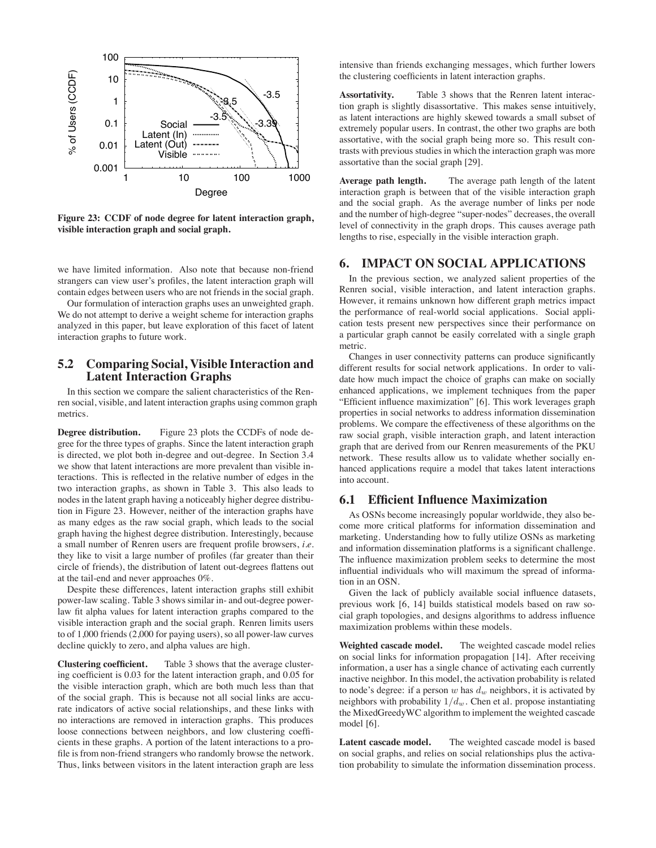

**Figure 23: CCDF of node degree for latent interaction graph, visible interaction graph and social graph.**

we have limited information. Also note that because non-friend strangers can view user's profiles, the latent interaction graph will contain edges between users who are not friends in the social graph.

Our formulation of interaction graphs uses an unweighted graph. We do not attempt to derive a weight scheme for interaction graphs analyzed in this paper, but leave exploration of this facet of latent interaction graphs to future work.

## **5.2 Comparing Social, Visible Interaction and Latent Interaction Graphs**

In this section we compare the salient characteristics of the Renren social, visible, and latent interaction graphs using common graph metrics.

**Degree distribution.** Figure 23 plots the CCDFs of node degree for the three types of graphs. Since the latent interaction graph is directed, we plot both in-degree and out-degree. In Section 3.4 we show that latent interactions are more prevalent than visible interactions. This is reflected in the relative number of edges in the two interaction graphs, as shown in Table 3. This also leads to nodes in the latent graph having a noticeably higher degree distribution in Figure 23. However, neither of the interaction graphs have as many edges as the raw social graph, which leads to the social graph having the highest degree distribution. Interestingly, because a small number of Renren users are frequent profile browsers, *i.e.* they like to visit a large number of profiles (far greater than their circle of friends), the distribution of latent out-degrees flattens out at the tail-end and never approaches 0%.

Despite these differences, latent interaction graphs still exhibit power-law scaling. Table 3 shows similar in- and out-degree powerlaw fit alpha values for latent interaction graphs compared to the visible interaction graph and the social graph. Renren limits users to of 1,000 friends (2,000 for paying users), so all power-law curves decline quickly to zero, and alpha values are high.

**Clustering coefficient.** Table 3 shows that the average clustering coefficient is 0.03 for the latent interaction graph, and 0.05 for the visible interaction graph, which are both much less than that of the social graph. This is because not all social links are accurate indicators of active social relationships, and these links with no interactions are removed in interaction graphs. This produces loose connections between neighbors, and low clustering coefficients in these graphs. A portion of the latent interactions to a profile is from non-friend strangers who randomly browse the network. Thus, links between visitors in the latent interaction graph are less

intensive than friends exchanging messages, which further lowers the clustering coefficients in latent interaction graphs.

**Assortativity.** Table 3 shows that the Renren latent interaction graph is slightly disassortative. This makes sense intuitively, as latent interactions are highly skewed towards a small subset of extremely popular users. In contrast, the other two graphs are both assortative, with the social graph being more so. This result contrasts with previous studies in which the interaction graph was more assortative than the social graph [29].

**Average path length.** The average path length of the latent interaction graph is between that of the visible interaction graph and the social graph. As the average number of links per node and the number of high-degree "super-nodes" decreases, the overall level of connectivity in the graph drops. This causes average path lengths to rise, especially in the visible interaction graph.

## **6. IMPACT ON SOCIAL APPLICATIONS**

In the previous section, we analyzed salient properties of the Renren social, visible interaction, and latent interaction graphs. However, it remains unknown how different graph metrics impact the performance of real-world social applications. Social application tests present new perspectives since their performance on a particular graph cannot be easily correlated with a single graph metric.

Changes in user connectivity patterns can produce significantly different results for social network applications. In order to validate how much impact the choice of graphs can make on socially enhanced applications, we implement techniques from the paper "Efficient influence maximization" [6]. This work leverages graph properties in social networks to address information dissemination problems. We compare the effectiveness of these algorithms on the raw social graph, visible interaction graph, and latent interaction graph that are derived from our Renren measurements of the PKU network. These results allow us to validate whether socially enhanced applications require a model that takes latent interactions into account.

## **6.1 Efficient Influence Maximization**

As OSNs become increasingly popular worldwide, they also become more critical platforms for information dissemination and marketing. Understanding how to fully utilize OSNs as marketing and information dissemination platforms is a significant challenge. The influence maximization problem seeks to determine the most influential individuals who will maximum the spread of information in an OSN.

Given the lack of publicly available social influence datasets, previous work [6, 14] builds statistical models based on raw social graph topologies, and designs algorithms to address influence maximization problems within these models.

**Weighted cascade model.** The weighted cascade model relies on social links for information propagation [14]. After receiving information, a user has a single chance of activating each currently inactive neighbor. In this model, the activation probability is related to node's degree: if a person w has  $d_w$  neighbors, it is activated by neighbors with probability  $1/d_w$ . Chen et al. propose instantiating the MixedGreedyWC algorithm to implement the weighted cascade model [6].

**Latent cascade model.** The weighted cascade model is based on social graphs, and relies on social relationships plus the activation probability to simulate the information dissemination process.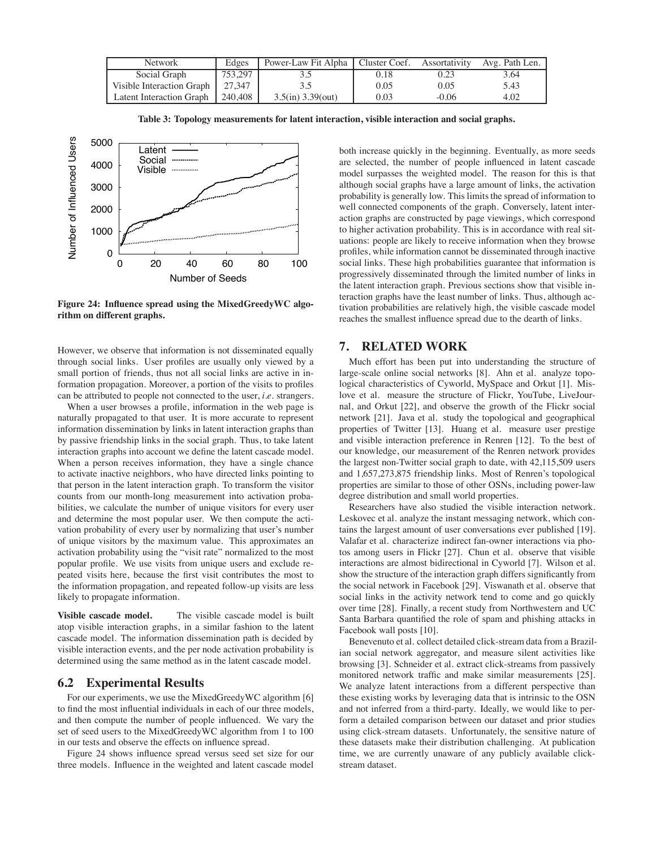| Network                          | Edges   | Power-Law Fit Alpha   Cluster Coef. |      | Assortativity | Avg. Path Len. |
|----------------------------------|---------|-------------------------------------|------|---------------|----------------|
| Social Graph                     | 753.297 |                                     | 0.18 | 0.23          | 3.64           |
| Visible Interaction Graph 27,347 |         |                                     | 0.05 | 0.05          | 5.43           |
| Latent Interaction Graph 240,408 |         | 3.5(in) 3.39(out)                   | 0.03 | -0.06         | 4.02           |

**Table 3: Topology measurements for latent interaction, visible interaction and social graphs.**



**Figure 24: Influence spread using the MixedGreedyWC algorithm on different graphs.**

However, we observe that information is not disseminated equally through social links. User profiles are usually only viewed by a small portion of friends, thus not all social links are active in information propagation. Moreover, a portion of the visits to profiles can be attributed to people not connected to the user, *i.e.* strangers.

When a user browses a profile, information in the web page is naturally propagated to that user. It is more accurate to represent information dissemination by links in latent interaction graphs than by passive friendship links in the social graph. Thus, to take latent interaction graphs into account we define the latent cascade model. When a person receives information, they have a single chance to activate inactive neighbors, who have directed links pointing to that person in the latent interaction graph. To transform the visitor counts from our month-long measurement into activation probabilities, we calculate the number of unique visitors for every user and determine the most popular user. We then compute the activation probability of every user by normalizing that user's number of unique visitors by the maximum value. This approximates an activation probability using the "visit rate" normalized to the most popular profile. We use visits from unique users and exclude repeated visits here, because the first visit contributes the most to the information propagation, and repeated follow-up visits are less likely to propagate information.

**Visible cascade model.** The visible cascade model is built atop visible interaction graphs, in a similar fashion to the latent cascade model. The information dissemination path is decided by visible interaction events, and the per node activation probability is determined using the same method as in the latent cascade model.

## **6.2 Experimental Results**

For our experiments, we use the MixedGreedyWC algorithm [6] to find the most influential individuals in each of our three models, and then compute the number of people influenced. We vary the set of seed users to the MixedGreedyWC algorithm from 1 to 100 in our tests and observe the effects on influence spread.

Figure 24 shows influence spread versus seed set size for our three models. Influence in the weighted and latent cascade model

both increase quickly in the beginning. Eventually, as more seeds are selected, the number of people influenced in latent cascade model surpasses the weighted model. The reason for this is that although social graphs have a large amount of links, the activation probability is generally low. This limits the spread of information to well connected components of the graph. Conversely, latent interaction graphs are constructed by page viewings, which correspond to higher activation probability. This is in accordance with real situations: people are likely to receive information when they browse profiles, while information cannot be disseminated through inactive social links. These high probabilities guarantee that information is progressively disseminated through the limited number of links in the latent interaction graph. Previous sections show that visible interaction graphs have the least number of links. Thus, although activation probabilities are relatively high, the visible cascade model reaches the smallest influence spread due to the dearth of links.

## **7. RELATED WORK**

Much effort has been put into understanding the structure of large-scale online social networks [8]. Ahn et al. analyze topological characteristics of Cyworld, MySpace and Orkut [1]. Mislove et al. measure the structure of Flickr, YouTube, LiveJournal, and Orkut [22], and observe the growth of the Flickr social network [21]. Java et al. study the topological and geographical properties of Twitter [13]. Huang et al. measure user prestige and visible interaction preference in Renren [12]. To the best of our knowledge, our measurement of the Renren network provides the largest non-Twitter social graph to date, with 42,115,509 users and 1,657,273,875 friendship links. Most of Renren's topological properties are similar to those of other OSNs, including power-law degree distribution and small world properties.

Researchers have also studied the visible interaction network. Leskovec et al. analyze the instant messaging network, which contains the largest amount of user conversations ever published [19]. Valafar et al. characterize indirect fan-owner interactions via photos among users in Flickr [27]. Chun et al. observe that visible interactions are almost bidirectional in Cyworld [7]. Wilson et al. show the structure of the interaction graph differs significantly from the social network in Facebook [29]. Viswanath et al. observe that social links in the activity network tend to come and go quickly over time [28]. Finally, a recent study from Northwestern and UC Santa Barbara quantified the role of spam and phishing attacks in Facebook wall posts [10].

Benevenuto et al. collect detailed click-stream data from a Brazilian social network aggregator, and measure silent activities like browsing [3]. Schneider et al. extract click-streams from passively monitored network traffic and make similar measurements [25]. We analyze latent interactions from a different perspective than these existing works by leveraging data that is intrinsic to the OSN and not inferred from a third-party. Ideally, we would like to perform a detailed comparison between our dataset and prior studies using click-stream datasets. Unfortunately, the sensitive nature of these datasets make their distribution challenging. At publication time, we are currently unaware of any publicly available clickstream dataset.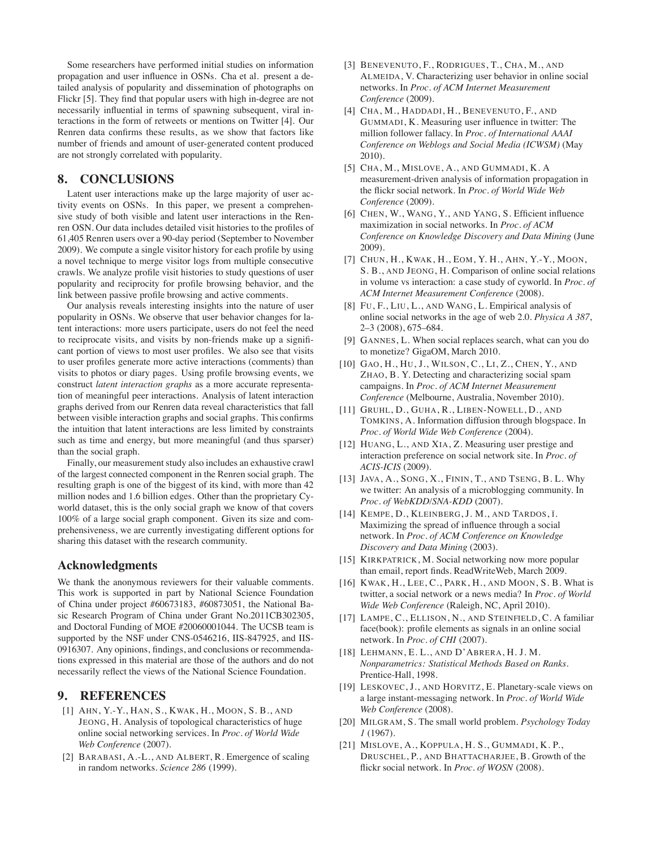Some researchers have performed initial studies on information propagation and user influence in OSNs. Cha et al. present a detailed analysis of popularity and dissemination of photographs on Flickr [5]. They find that popular users with high in-degree are not necessarily influential in terms of spawning subsequent, viral interactions in the form of retweets or mentions on Twitter [4]. Our Renren data confirms these results, as we show that factors like number of friends and amount of user-generated content produced are not strongly correlated with popularity.

# **8. CONCLUSIONS**

Latent user interactions make up the large majority of user activity events on OSNs. In this paper, we present a comprehensive study of both visible and latent user interactions in the Renren OSN. Our data includes detailed visit histories to the profiles of 61,405 Renren users over a 90-day period (September to November 2009). We compute a single visitor history for each profile by using a novel technique to merge visitor logs from multiple consecutive crawls. We analyze profile visit histories to study questions of user popularity and reciprocity for profile browsing behavior, and the link between passive profile browsing and active comments.

Our analysis reveals interesting insights into the nature of user popularity in OSNs. We observe that user behavior changes for latent interactions: more users participate, users do not feel the need to reciprocate visits, and visits by non-friends make up a significant portion of views to most user profiles. We also see that visits to user profiles generate more active interactions (comments) than visits to photos or diary pages. Using profile browsing events, we construct *latent interaction graphs* as a more accurate representation of meaningful peer interactions. Analysis of latent interaction graphs derived from our Renren data reveal characteristics that fall between visible interaction graphs and social graphs. This confirms the intuition that latent interactions are less limited by constraints such as time and energy, but more meaningful (and thus sparser) than the social graph.

Finally, our measurement study also includes an exhaustive crawl of the largest connected component in the Renren social graph. The resulting graph is one of the biggest of its kind, with more than 42 million nodes and 1.6 billion edges. Other than the proprietary Cyworld dataset, this is the only social graph we know of that covers 100% of a large social graph component. Given its size and comprehensiveness, we are currently investigating different options for sharing this dataset with the research community.

## **Acknowledgments**

We thank the anonymous reviewers for their valuable comments. This work is supported in part by National Science Foundation of China under project #60673183, #60873051, the National Basic Research Program of China under Grant No.2011CB302305, and Doctoral Funding of MOE #20060001044. The UCSB team is supported by the NSF under CNS-0546216, IIS-847925, and IIS-0916307. Any opinions, findings, and conclusions or recommendations expressed in this material are those of the authors and do not necessarily reflect the views of the National Science Foundation.

## **9. REFERENCES**

- [1] AHN, Y.-Y., HAN, S., KWAK, H., MOON, S. B., AND JEONG, H. Analysis of topological characteristics of huge online social networking services. In *Proc. of World Wide Web Conference* (2007).
- [2] BARABASI, A.-L., AND ALBERT, R. Emergence of scaling in random networks. *Science 286* (1999).
- [3] BENEVENUTO, F., RODRIGUES, T., CHA, M., AND ALMEIDA, V. Characterizing user behavior in online social networks. In *Proc. of ACM Internet Measurement Conference* (2009).
- [4] CHA, M., HADDADI, H., BENEVENUTO, F., AND GUMMADI, K. Measuring user influence in twitter: The million follower fallacy. In *Proc. of International AAAI Conference on Weblogs and Social Media (ICWSM)* (May 2010).
- [5] CHA, M., MISLOVE, A., AND GUMMADI, K. A measurement-driven analysis of information propagation in the flickr social network. In *Proc. of World Wide Web Conference* (2009).
- [6] CHEN, W., WANG, Y., AND YANG, S. Efficient influence maximization in social networks. In *Proc. of ACM Conference on Knowledge Discovery and Data Mining* (June 2009).
- [7] CHUN, H., KWAK, H., EOM, Y. H., AHN, Y.-Y., MOON, S. B., AND JEONG, H. Comparison of online social relations in volume vs interaction: a case study of cyworld. In *Proc. of ACM Internet Measurement Conference* (2008).
- [8] FU, F., LIU, L., AND WANG, L. Empirical analysis of online social networks in the age of web 2.0. *Physica A 387*, 2–3 (2008), 675–684.
- [9] GANNES, L. When social replaces search, what can you do to monetize? GigaOM, March 2010.
- [10] GAO, H., HU, J., WILSON, C., LI, Z., CHEN, Y., AND ZHAO, B. Y. Detecting and characterizing social spam campaigns. In *Proc. of ACM Internet Measurement Conference* (Melbourne, Australia, November 2010).
- [11] GRUHL, D., GUHA, R., LIBEN-NOWELL, D., AND TOMKINS, A. Information diffusion through blogspace. In *Proc. of World Wide Web Conference* (2004).
- [12] HUANG, L., AND XIA, Z. Measuring user prestige and interaction preference on social network site. In *Proc. of ACIS-ICIS* (2009).
- [13] JAVA, A., SONG, X., FININ, T., AND TSENG, B. L. Why we twitter: An analysis of a microblogging community. In *Proc. of WebKDD/SNA-KDD* (2007).
- [14] KEMPE, D., KLEINBERG, J. M., AND TARDOS, Ï. Maximizing the spread of influence through a social network. In *Proc. of ACM Conference on Knowledge Discovery and Data Mining* (2003).
- [15] KIRKPATRICK, M. Social networking now more popular than email, report finds. ReadWriteWeb, March 2009.
- [16] KWAK, H., LEE, C., PARK, H., AND MOON, S. B. What is twitter, a social network or a news media? In *Proc. of World Wide Web Conference* (Raleigh, NC, April 2010).
- [17] LAMPE, C., ELLISON, N., AND STEINFIELD, C. A familiar face(book): profile elements as signals in an online social network. In *Proc. of CHI* (2007).
- [18] LEHMANN, E. L., AND D'ABRERA, H. J. M. *Nonparametrics: Statistical Methods Based on Ranks*. Prentice-Hall, 1998.
- [19] LESKOVEC, J., AND HORVITZ, E. Planetary-scale views on a large instant-messaging network. In *Proc. of World Wide Web Conference* (2008).
- [20] MILGRAM, S. The small world problem. *Psychology Today 1* (1967).
- [21] MISLOVE, A., KOPPULA, H. S., GUMMADI, K. P., DRUSCHEL, P., AND BHATTACHARJEE, B. Growth of the flickr social network. In *Proc. of WOSN* (2008).